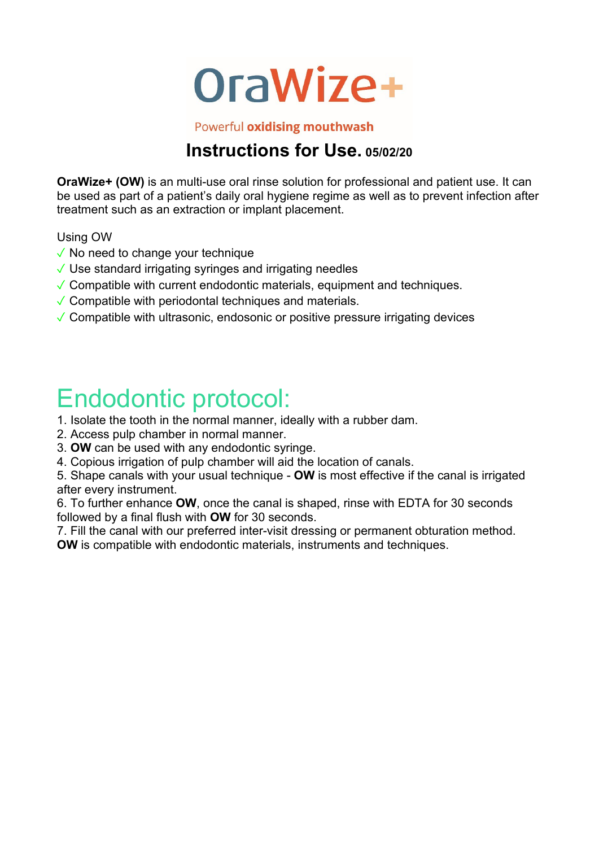

Powerful oxidising mouthwash

### **Instructions for Use. 05/02/20**

**OraWize+ (OW)** is an multi-use oral rinse solution for professional and patient use. It can be used as part of a patient's daily oral hygiene regime as well as to prevent infection after treatment such as an extraction or implant placement.

Using OW

- $\sqrt{\ }$  No need to change your technique
- $\sqrt{\ }$  Use standard irrigating syringes and irrigating needles
- $\sqrt{\ }$  Compatible with current endodontic materials, equipment and techniques.
- $\sqrt{\ }$  Compatible with periodontal techniques and materials.
- ✓ Compatible with ultrasonic, endosonic or positive pressure irrigating devices

## Endodontic protocol:

1. Isolate the tooth in the normal manner, ideally with a rubber dam.

2. Access pulp chamber in normal manner.

3. **OW** can be used with any endodontic syringe.

4. Copious irrigation of pulp chamber will aid the location of canals.

5. Shape canals with your usual technique - **OW** is most effective if the canal is irrigated after every instrument.

6. To further enhance **OW**, once the canal is shaped, rinse with EDTA for 30 seconds followed by a final flush with **OW** for 30 seconds.

7. Fill the canal with our preferred inter-visit dressing or permanent obturation method. **OW** is compatible with endodontic materials, instruments and techniques.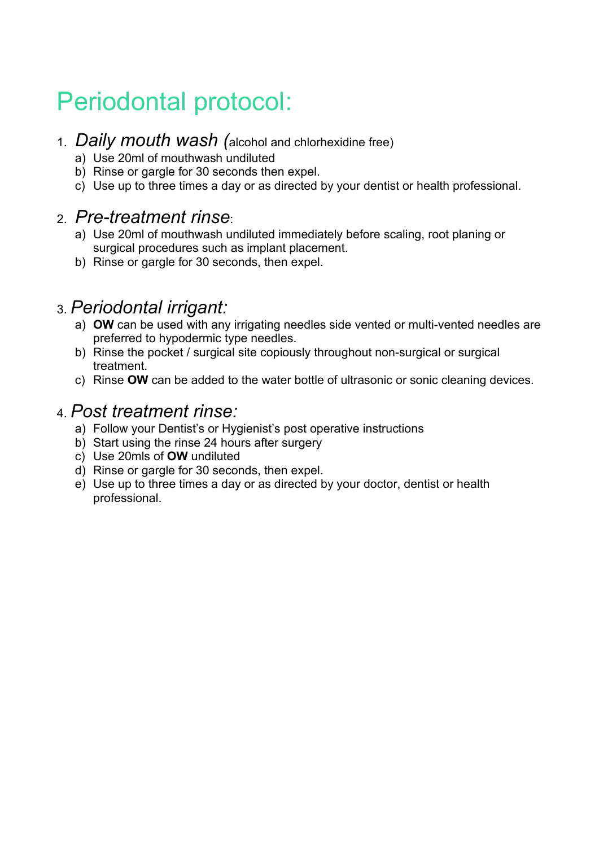## Periodontal protocol:

- 1. *Daily mouth wash (*alcohol and chlorhexidine free)
	- a) Use 20ml of mouthwash undiluted
	- b) Rinse or gargle for 30 seconds then expel.
	- c) Use up to three times a day or as directed by your dentist or health professional.

#### 2. *Pre-treatment rinse*:

- a) Use 20ml of mouthwash undiluted immediately before scaling, root planing or surgical procedures such as implant placement.
- b) Rinse or gargle for 30 seconds, then expel.

### 3. *Periodontal irrigant:*

- a) **OW** can be used with any irrigating needles side vented or multi-vented needles are preferred to hypodermic type needles.
- b) Rinse the pocket / surgical site copiously throughout non-surgical or surgical treatment.
- c) Rinse **OW** can be added to the water bottle of ultrasonic or sonic cleaning devices.

### 4. *Post treatment rinse:*

- a) Follow your Dentist's or Hygienist's post operative instructions
- b) Start using the rinse 24 hours after surgery
- c) Use 20mls of **OW** undiluted
- d) Rinse or gargle for 30 seconds, then expel.
- e) Use up to three times a day or as directed by your doctor, dentist or health professional.